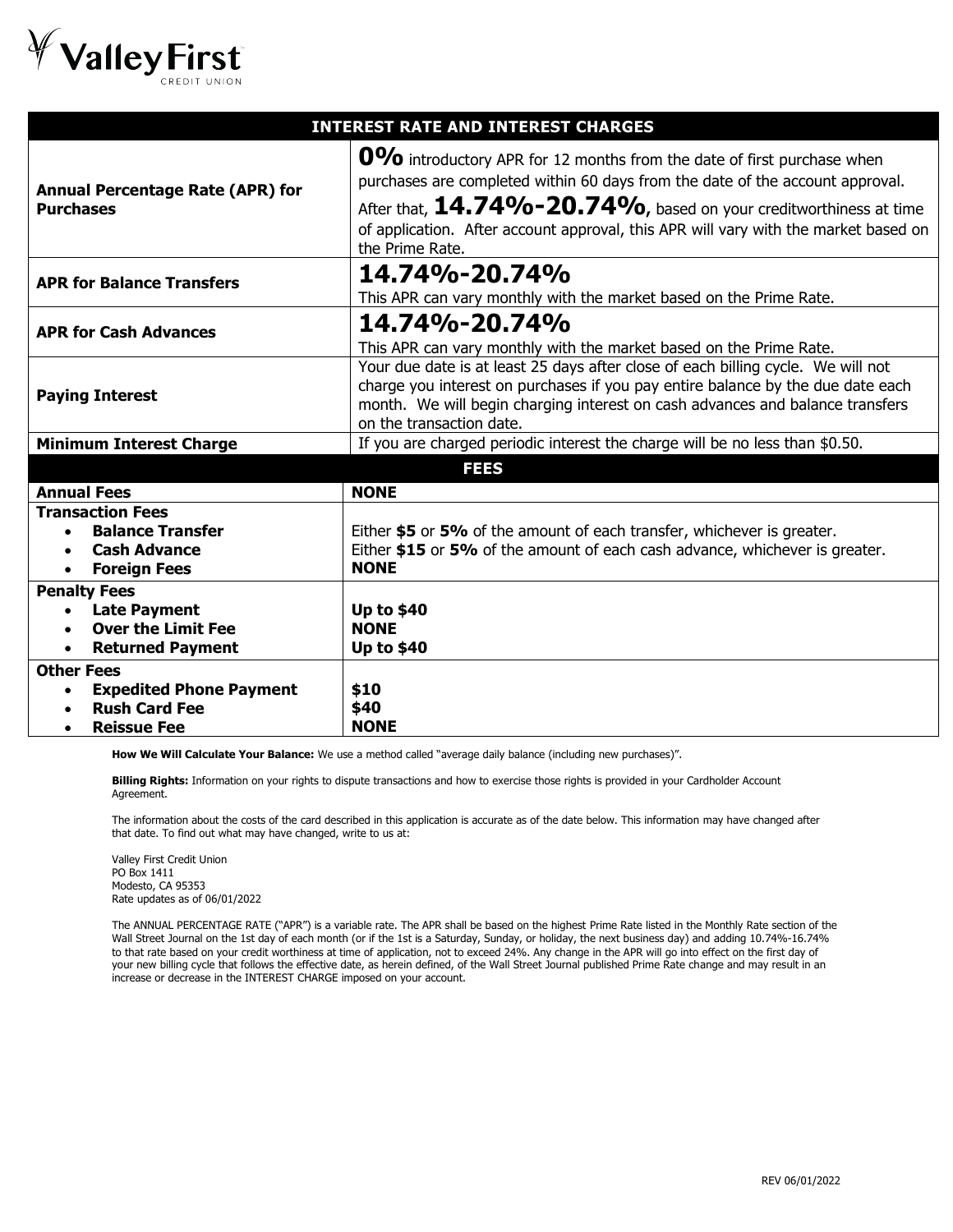

| 0% introductory APR for 12 months from the date of first purchase when<br>purchases are completed within 60 days from the date of the account approval.<br><b>Annual Percentage Rate (APR) for</b><br>After that, $14.74\%$ - $20.74\%$ , based on your creditworthiness at time<br><b>Purchases</b><br>of application. After account approval, this APR will vary with the market based on<br>the Prime Rate.<br>14.74%-20.74%<br><b>APR for Balance Transfers</b><br>14.74%-20.74%<br><b>APR for Cash Advances</b><br>This APR can vary monthly with the market based on the Prime Rate.<br>Your due date is at least 25 days after close of each billing cycle. We will not |                                                                    |  |  |  |
|--------------------------------------------------------------------------------------------------------------------------------------------------------------------------------------------------------------------------------------------------------------------------------------------------------------------------------------------------------------------------------------------------------------------------------------------------------------------------------------------------------------------------------------------------------------------------------------------------------------------------------------------------------------------------------|--------------------------------------------------------------------|--|--|--|
|                                                                                                                                                                                                                                                                                                                                                                                                                                                                                                                                                                                                                                                                                |                                                                    |  |  |  |
|                                                                                                                                                                                                                                                                                                                                                                                                                                                                                                                                                                                                                                                                                | This APR can vary monthly with the market based on the Prime Rate. |  |  |  |
|                                                                                                                                                                                                                                                                                                                                                                                                                                                                                                                                                                                                                                                                                |                                                                    |  |  |  |
| charge you interest on purchases if you pay entire balance by the due date each<br><b>Paying Interest</b><br>month. We will begin charging interest on cash advances and balance transfers<br>on the transaction date.                                                                                                                                                                                                                                                                                                                                                                                                                                                         |                                                                    |  |  |  |
| If you are charged periodic interest the charge will be no less than \$0.50.<br><b>Minimum Interest Charge</b>                                                                                                                                                                                                                                                                                                                                                                                                                                                                                                                                                                 |                                                                    |  |  |  |
| <b>FEES</b>                                                                                                                                                                                                                                                                                                                                                                                                                                                                                                                                                                                                                                                                    |                                                                    |  |  |  |
| <b>Annual Fees</b><br><b>NONE</b>                                                                                                                                                                                                                                                                                                                                                                                                                                                                                                                                                                                                                                              |                                                                    |  |  |  |
| <b>Transaction Fees</b><br><b>Balance Transfer</b><br>Either \$5 or 5% of the amount of each transfer, whichever is greater.<br>Either \$15 or 5% of the amount of each cash advance, whichever is greater.<br><b>Cash Advance</b><br><b>NONE</b><br><b>Foreign Fees</b>                                                                                                                                                                                                                                                                                                                                                                                                       |                                                                    |  |  |  |
| <b>Penalty Fees</b><br><b>Up to \$40</b><br><b>Late Payment</b><br><b>Over the Limit Fee</b><br><b>NONE</b><br><b>Returned Payment</b><br><b>Up to \$40</b><br>$\bullet$<br><b>Other Fees</b><br><b>Expedited Phone Payment</b><br>\$10<br><b>Rush Card Fee</b><br>\$40<br><b>NONE</b><br><b>Reissue Fee</b>                                                                                                                                                                                                                                                                                                                                                                   |                                                                    |  |  |  |

**How We Will Calculate Your Balance:** We use a method called "average daily balance (including new purchases)".

**Billing Rights:** Information on your rights to dispute transactions and how to exercise those rights is provided in your Cardholder Account Agreement.

The information about the costs of the card described in this application is accurate as of the date below. This information may have changed after that date. To find out what may have changed, write to us at:

Valley First Credit Union PO Box 1411 Modesto, CA 95353 Rate updates as of 06/01/2022

The ANNUAL PERCENTAGE RATE ("APR") is a variable rate. The APR shall be based on the highest Prime Rate listed in the Monthly Rate section of the Wall Street Journal on the 1st day of each month (or if the 1st is a Saturday, Sunday, or holiday, the next business day) and adding 10.74%-16.74% to that rate based on your credit worthiness at time of application, not to exceed 24%. Any change in the APR will go into effect on the first day of your new billing cycle that follows the effective date, as herein defined, of the Wall Street Journal published Prime Rate change and may result in an increase or decrease in the INTEREST CHARGE imposed on your account.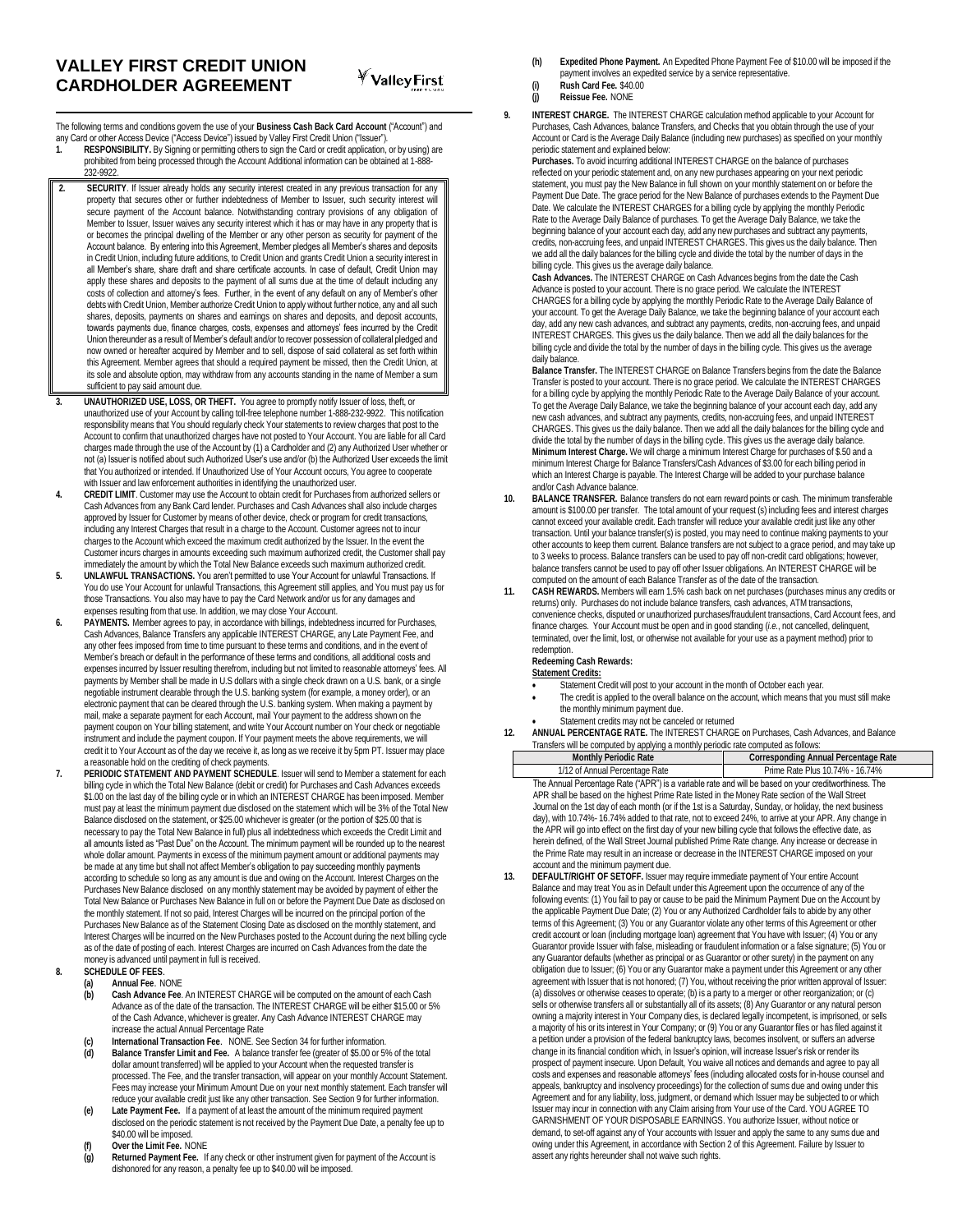The following terms and conditions govern the use of your **Business Cash Back Card Account** ("Account") and any Card or other Access Device ("Access Device") issued by Valley First Credit Union ("Issuer").

- **1. RESPONSIBILITY.** By Signing or permitting others to sign the Card or credit application, or by using) are prohibited from being processed through the Account Additional information can be obtained at 1-888- 232-9922.
- **2. SECURITY**. If Issuer already holds any security interest created in any previous transaction for any property that secures other or further indebtedness of Member to Issuer, such security interest will secure payment of the Account balance. Notwithstanding contrary provisions of any obligation of Member to Issuer, Issuer waives any security interest which it has or may have in any property that is or becomes the principal dwelling of the Member or any other person as security for payment of the Account balance. By entering into this Agreement, Member pledges all Member's shares and deposits in Credit Union, including future additions, to Credit Union and grants Credit Union a security interest in all Member's share, share draft and share certificate accounts. In case of default, Credit Union may apply these shares and deposits to the payment of all sums due at the time of default including any costs of collection and attorney's fees. Further, in the event of any default on any of Member's other debts with Credit Union, Member authorize Credit Union to apply without further notice, any and all such shares, deposits, payments on shares and earnings on shares and deposits, and deposit accounts, towards payments due, finance charges, costs, expenses and attorneys' fees incurred by the Credit Union thereunder as a result of Member's default and/or to recover possession of collateral pledged and now owned or hereafter acquired by Member and to sell, dispose of said collateral as set forth within this Agreement. Member agrees that should a required payment be missed, then the Credit Union, at its sole and absolute option, may withdraw from any accounts standing in the name of Member a sum sufficient to pay said amount due
- **3. UNAUTHORIZED USE, LOSS, OR THEFT.** You agree to promptly notify Issuer of loss, theft, or unauthorized use of your Account by calling toll-free telephone number 1-888-232-9922. This notification responsibility means that You should regularly check Your statements to review charges that post to the Account to confirm that unauthorized charges have not posted to Your Account. You are liable for all Card charges made through the use of the Account by (1) a Cardholder and (2) any Authorized User whether or not (a) Issuer is notified about such Authorized User's use and/or (b) the Authorized User exceeds the limit that You authorized or intended. If Unauthorized Use of Your Account occurs, You agree to cooperate with Issuer and law enforcement authorities in identifying the unauthorized user.
- **4. CREDIT LIMIT**. Customer may use the Account to obtain credit for Purchases from authorized sellers or Cash Advances from any Bank Card lender. Purchases and Cash Advances shall also include charges approved by Issuer for Customer by means of other device, check or program for credit transactions, including any Interest Charges that result in a charge to the Account. Customer agrees not to incur charges to the Account which exceed the maximum credit authorized by the Issuer. In the event the Customer incurs charges in amounts exceeding such maximum authorized credit, the Customer shall pay immediately the amount by which the Total New Balance exceeds such maximum authorized credit.
- **5. UNLAWFUL TRANSACTIONS.** You aren't permitted to use Your Account for unlawful Transactions. If You do use Your Account for unlawful Transactions, this Agreement still applies, and You must pay us for those Transactions. You also may have to pay the Card Network and/or us for any damages and expenses resulting from that use. In addition, we may close Your Account.
- **6. PAYMENTS.** Member agrees to pay, in accordance with billings, indebtedness incurred for Purchases, Cash Advances, Balance Transfers any applicable INTEREST CHARGE, any Late Payment Fee, and any other fees imposed from time to time pursuant to these terms and conditions, and in the event of Member's breach or default in the performance of these terms and conditions, all additional costs and expenses incurred by Issuer resulting therefrom, including but not limited to reasonable attorneys' fees. All payments by Member shall be made in U.S dollars with a single check drawn on a U.S. bank, or a single negotiable instrument clearable through the U.S. banking system (for example, a money order), or an electronic payment that can be cleared through the U.S. banking system. When making a payment by mail, make a separate payment for each Account, mail Your payment to the address shown on the payment coupon on Your billing statement, and write Your Account number on Your check or negotiable instrument and include the payment coupon. If Your payment meets the above requirements, we will credit it to Your Account as of the day we receive it, as long as we receive it by 5pm PT. Issuer may place
- a reasonable hold on the crediting of check payments. **7. PERIODIC STATEMENT AND PAYMENT SCHEDULE**. Issuer will send to Member a statement for each billing cycle in which the Total New Balance (debit or credit) for Purchases and Cash Advances exceeds \$1.00 on the last day of the billing cycle or in which an INTEREST CHARGE has been imposed. Member must pay at least the minimum payment due disclosed on the statement which will be 3% of the Total New Balance disclosed on the statement, or \$25.00 whichever is greater (or the portion of \$25.00 that is necessary to pay the Total New Balance in full) plus all indebtedness which exceeds the Credit Limit and all amounts listed as "Past Due" on the Account. The minimum payment will be rounded up to the nearest whole dollar amount. Payments in excess of the minimum payment amount or additional payments may be made at any time but shall not affect Member's obligation to pay succeeding monthly payments according to schedule so long as any amount is due and owing on the Account. Interest Charges on the Purchases New Balance disclosed on any monthly statement may be avoided by payment of either the Total New Balance or Purchases New Balance in full on or before the Payment Due Date as disclosed on the monthly statement. If not so paid, Interest Charges will be incurred on the principal portion of the Purchases New Balance as of the Statement Closing Date as disclosed on the monthly statement, and Interest Charges will be incurred on the New Purchases posted to the Account during the next billing cycle as of the date of posting of each. Interest Charges are incurred on Cash Advances from the date the money is advanced until payment in full is received.

## **8. SCHEDULE OF FEES**.

- **(a) Annual Fee**. NONE
- **(b) Cash Advance Fee**. An INTEREST CHARGE will be computed on the amount of each Cash Advance as of the date of the transaction. The INTEREST CHARGE will be either \$15.00 or 5% of the Cash Advance, whichever is greater. Any Cash Advance INTEREST CHARGE may increase the actual Annual Percentage Rate
- **(c) International Transaction Fee**. NONE. See Section 34 for further information.
- **(d) Balance Transfer Limit and Fee.** A balance transfer fee (greater of \$5.00 or 5% of the total dollar amount transferred) will be applied to your Account when the requested transfer is processed. The Fee, and the transfer transaction, will appear on your monthly Account Statement. Fees may increase your Minimum Amount Due on your next monthly statement. Each transfer will reduce your available credit just like any other transaction. See Section 9 for further information.
- **(e) Late Payment Fee.** If a payment of at least the amount of the minimum required payment disclosed on the periodic statement is not received by the Payment Due Date, a penalty fee up to \$40.00 will be imposed.
- **(f) Over the Limit Fee.** NONE
- **(g) Returned Payment Fee.** If any check or other instrument given for payment of the Account is dishonored for any reason, a penalty fee up to \$40.00 will be imposed.
- **(h) Expedited Phone Payment.** An Expedited Phone Payment Fee of \$10.00 will be imposed if the payment involves an expedited service by a service representative.
- **(i) Rush Card Fee.** \$40.00 **(j) Reissue Fee.** NONE
- **9. INTEREST CHARGE.** The INTEREST CHARGE calculation method applicable to your Account for Purchases, Cash Advances, balance Transfers, and Checks that you obtain through the use of your Account or Card is the Average Daily Balance (including new purchases) as specified on your monthly periodic statement and explained below:

**Purchases.** To avoid incurring additional INTEREST CHARGE on the balance of purchases reflected on your periodic statement and, on any new purchases appearing on your next periodic statement, you must pay the New Balance in full shown on your monthly statement on or before the Payment Due Date. The grace period for the New Balance of purchases extends to the Payment Due Date. We calculate the INTEREST CHARGES for a billing cycle by applying the monthly Periodic Rate to the Average Daily Balance of purchases. To get the Average Daily Balance, we take the beginning balance of your account each day, add any new purchases and subtract any payments, credits, non-accruing fees, and unpaid INTEREST CHARGES. This gives us the daily balance. Then we add all the daily balances for the billing cycle and divide the total by the number of days in the billing cycle. This gives us the average daily balance.

**Cash Advances.** The INTEREST CHARGE on Cash Advances begins from the date the Cash Advance is posted to your account. There is no grace period. We calculate the INTEREST CHARGES for a billing cycle by applying the monthly Periodic Rate to the Average Daily Balance of your account. To get the Average Daily Balance, we take the beginning balance of your account each day, add any new cash advances, and subtract any payments, credits, non-accruing fees, and unpaid INTEREST CHARGES. This gives us the daily balance. Then we add all the daily balances for the billing cycle and divide the total by the number of days in the billing cycle. This gives us the average daily balance.

**Balance Transfer.** The INTEREST CHARGE on Balance Transfers begins from the date the Balance Transfer is posted to your account. There is no grace period. We calculate the INTEREST CHARGES for a billing cycle by applying the monthly Periodic Rate to the Average Daily Balance of your account. To get the Average Daily Balance, we take the beginning balance of your account each day, add any new cash advances, and subtract any payments, credits, non-accruing fees, and unpaid INTEREST CHARGES. This gives us the daily balance. Then we add all the daily balances for the billing cycle and divide the total by the number of days in the billing cycle. This gives us the average daily balance. **Minimum Interest Charge.** We will charge a minimum Interest Charge for purchases of \$.50 and a minimum Interest Charge for Balance Transfers/Cash Advances of \$3.00 for each billing period in which an Interest Charge is payable. The Interest Charge will be added to your purchase balance and/or Cash Advance balance.

- **10. BALANCE TRANSFER.** Balance transfers do not earn reward points or cash. The minimum transferable amount is \$100.00 per transfer. The total amount of your request (s) including fees and interest charges cannot exceed your available credit. Each transfer will reduce your available credit just like any other transaction. Until your balance transfer(s) is posted, you may need to continue making payments to your other accounts to keep them current. Balance transfers are not subject to a grace period, and may take up to 3 weeks to process. Balance transfers can be used to pay off non-credit card obligations; however, balance transfers cannot be used to pay off other Issuer obligations. An INTEREST CHARGE will be computed on the amount of each Balance Transfer as of the date of the transaction.
- **11. CASH REWARDS.** Members will earn 1.5% cash back on net purchases (purchases minus any credits or returns) only. Purchases do not include balance transfers, cash advances, ATM transactions, convenience checks, disputed or unauthorized purchases/fraudulent transactions, Card Account fees, and finance charges. Your Account must be open and in good standing (*i.e.*, not cancelled, delinquent, terminated, over the limit, lost, or otherwise not available for your use as a payment method) prior to redemption.

## **Redeeming Cash Rewards:**

## **Statement Credits:**

- Statement Credit will post to your account in the month of October each year.
- The credit is applied to the overall balance on the account, which means that you must still make the monthly minimum payment due.
- 
- Statement credits may not be canceled or returned **12. ANNUAL PERCENTAGE RATE.** The INTEREST CHARGE on Purchases, Cash Advances, and Balance Transfers will be computed by applying a monthly periodic rate computed as follows:<br>Monthly Periodic Rate<br>Corresponding Ann

**Corresponding Annual Percentage Rate** 1/12 of Annual Percentage Rate **Prime Rate Plus 10.74% - 16.74%** The Annual Percentage Rate ("APR") is a variable rate and will be based on your creditworthiness. The APR shall be based on the highest Prime Rate listed in the Money Rate section of the Wall Street Journal on the 1st day of each month (or if the 1st is a Saturday, Sunday, or holiday, the next business day), with 10.74%- 16.74% added to that rate, not to exceed 24%, to arrive at your APR. Any change in the APR will go into effect on the first day of your new billing cycle that follows the effective date, as herein defined, of the Wall Street Journal published Prime Rate change. Any increase or decrease in the Prime Rate may result in an increase or decrease in the INTEREST CHARGE imposed on your account and the minimum payment due.

**13. DEFAULT/RIGHT OF SETOFF.** Issuer may require immediate payment of Your entire Account Balance and may treat You as in Default under this Agreement upon the occurrence of any of the following events: (1) You fail to pay or cause to be paid the Minimum Payment Due on the Account by the applicable Payment Due Date; (2) You or any Authorized Cardholder fails to abide by any other terms of this Agreement; (3) You or any Guarantor violate any other terms of this Agreement or other credit account or loan (including mortgage loan) agreement that You have with Issuer; (4) You or any Guarantor provide Issuer with false, misleading or fraudulent information or a false signature; (5) You or any Guarantor defaults (whether as principal or as Guarantor or other surety) in the payment on any obligation due to Issuer; (6) You or any Guarantor make a payment under this Agreement or any other agreement with Issuer that is not honored; (7) You, without receiving the prior written approval of Issuer: (a) dissolves or otherwise ceases to operate; (b) is a party to a merger or other reorganization; or (c) sells or otherwise transfers all or substantially all of its assets; (8) Any Guarantor or any natural person owning a majority interest in Your Company dies, is declared legally incompetent, is imprisoned, or sells a majority of his or its interest in Your Company; or (9) You or any Guarantor files or has filed against it a petition under a provision of the federal bankruptcy laws, becomes insolvent, or suffers an adverse change in its financial condition which, in Issuer's opinion, will increase Issuer's risk or render its prospect of payment insecure. Upon Default, You waive all notices and demands and agree to pay all costs and expenses and reasonable attorneys' fees (including allocated costs for in-house counsel and appeals, bankruptcy and insolvency proceedings) for the collection of sums due and owing under this Agreement and for any liability, loss, judgment, or demand which Issuer may be subjected to or which Issuer may incur in connection with any Claim arising from Your use of the Card. YOU AGREE TO GARNISHMENT OF YOUR DISPOSABLE EARNINGS. You authorize Issuer, without notice or demand, to set-off against any of Your accounts with Issuer and apply the same to any sums due and owing under this Agreement, in accordance with Section 2 of this Agreement. Failure by Issuer to assert any rights hereunder shall not waive such rights.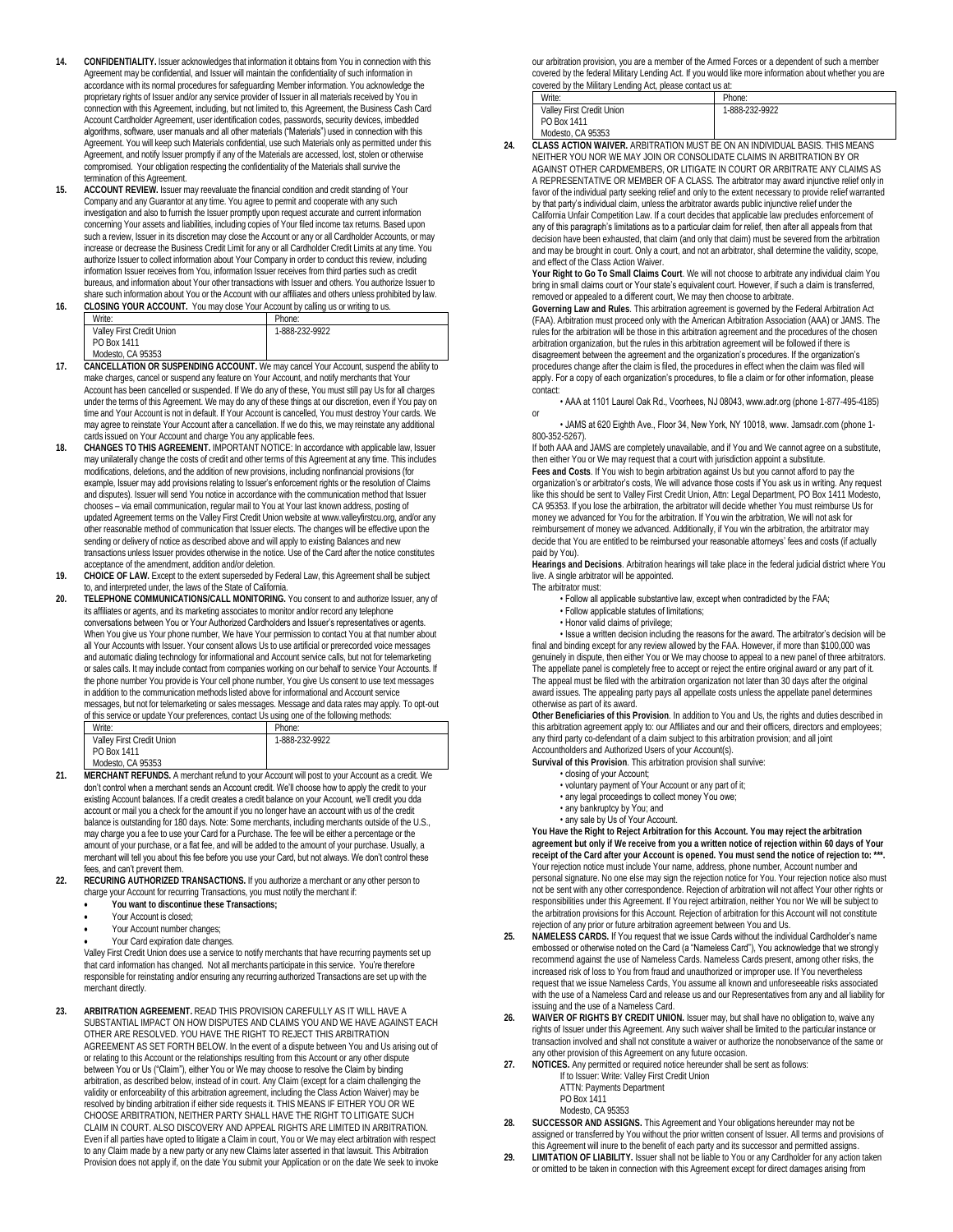- **14. CONFIDENTIALITY.** Issuer acknowledges that information it obtains from You in connection with this Agreement may be confidential, and Issuer will maintain the confidentiality of such information in accordance with its normal procedures for safeguarding Member information. You acknowledge the proprietary rights of Issuer and/or any service provider of Issuer in all materials received by You in connection with this Agreement, including, but not limited to, this Agreement, the Business Cash Card Account Cardholder Agreement, user identification codes, passwords, security devices, imbedded algorithms, software, user manuals and all other materials ("Materials") used in connection with this Agreement. You will keep such Materials confidential, use such Materials only as permitted under this Agreement, and notify Issuer promptly if any of the Materials are accessed, lost, stolen or otherwise compromised. Your obligation respecting the confidentiality of the Materials shall survive the termination of this Agreement.
- **15. ACCOUNT REVIEW.** Issuer may reevaluate the financial condition and credit standing of Your Company and any Guarantor at any time. You agree to permit and cooperate with any such investigation and also to furnish the Issuer promptly upon request accurate and current information concerning Your assets and liabilities, including copies of Your filed income tax returns. Based upon such a review, Issuer in its discretion may close the Account or any or all Cardholder Accounts, or may increase or decrease the Business Credit Limit for any or all Cardholder Credit Limits at any time. You authorize Issuer to collect information about Your Company in order to conduct this review, including information Issuer receives from You, information Issuer receives from third parties such as credit bureaus, and information about Your other transactions with Issuer and others. You authorize Issuer to
- share such information about You or the Account with our affiliates and others unless prohibited by law. 16. **CLOSING YOUR ACCOUNT.** You may close Your Account by calling us or writing to us.

| Write:                           | Phone:                 |  |
|----------------------------------|------------------------|--|
| <b>Valley First Credit Union</b> | 1-888-232-9922         |  |
| PO Box 1411                      |                        |  |
| Modesto, CA 95353                |                        |  |
|                                  | <br>1.111.<br>$\cdots$ |  |

- **17. CANCELLATION OR SUSPENDING ACCOUNT.** We may cancel Your Account, suspend the ability to make charges, cancel or suspend any feature on Your Account, and notify merchants that Your Account has been cancelled or suspended. If We do any of these, You must still pay Us for all charges under the terms of this Agreement. We may do any of these things at our discretion, even if You pay on time and Your Account is not in default. If Your Account is cancelled, You must destroy Your cards. We may agree to reinstate Your Account after a cancellation. If we do this, we may reinstate any additional cards issued on Your Account and charge You any applicable fees.
- **18. CHANGES TO THIS AGREEMENT.** IMPORTANT NOTICE: In accordance with applicable law, Issuer may unilaterally change the costs of credit and other terms of this Agreement at any time. This includes modifications, deletions, and the addition of new provisions, including nonfinancial provisions (for example, Issuer may add provisions relating to Issuer's enforcement rights or the resolution of Claims and disputes). Issuer will send You notice in accordance with the communication method that Issuer chooses – via email communication, regular mail to You at Your last known address, posting of updated Agreement terms on the Valley First Credit Union website at www.valleyfirstcu.org, and/or any other reasonable method of communication that Issuer elects. The changes will be effective upon the sending or delivery of notice as described above and will apply to existing Balances and new transactions unless Issuer provides otherwise in the notice. Use of the Card after the notice constitutes acceptance of the amendment, addition and/or deletion.
- **19. CHOICE OF LAW.** Except to the extent superseded by Federal Law, this Agreement shall be subject to, and interpreted under, the laws of the State of California.
- **20. TELEPHONE COMMUNICATIONS/CALL MONITORING.** You consent to and authorize Issuer, any of its affiliates or agents, and its marketing associates to monitor and/or record any telephone conversations between You or Your Authorized Cardholders and Issuer's representatives or agents. When You give us Your phone number, We have Your permission to contact You at that number about all Your Accounts with Issuer. Your consent allows Us to use artificial or prerecorded voice messages and automatic dialing technology for informational and Account service calls, but not for telemarketing or sales calls. It may include contact from companies working on our behalf to service Your Accounts. If the phone number You provide is Your cell phone number, You give Us consent to use text messages in addition to the communication methods listed above for informational and Account service messages, but not for telemarketing or sales messages. Message and data rates may apply. To opt-out of this service or update Your preferences, contact Us using one of the following methods:

| Write:                                                                                              | Phone:         |  |  |
|-----------------------------------------------------------------------------------------------------|----------------|--|--|
| Valley First Credit Union                                                                           | 1-888-232-9922 |  |  |
| PO Box 1411                                                                                         |                |  |  |
| Modesto, CA 95353                                                                                   |                |  |  |
| <b>MERAU ANT REFUNDA</b> A construction of a construction of the construction and construct the MI. |                |  |  |

- **21. MERCHANT REFUNDS.** A merchant refund to your Account will post to your Account as a credit. We don't control when a merchant sends an Account credit. We'll choose how to apply the credit to your existing Account balances. If a credit creates a credit balance on your Account, we'll credit you dda account or mail you a check for the amount if you no longer have an account with us of the credit balance is outstanding for 180 days. Note: Some merchants, including merchants outside of the U.S., may charge you a fee to use your Card for a Purchase. The fee will be either a percentage or the amount of your purchase, or a flat fee, and will be added to the amount of your purchase. Usually, a merchant will tell you about this fee before you use your Card, but not always. We don't control these fees, and can't prevent them.
- **22. RECURING AUTHORIZED TRANSACTIONS.** If you authorize a merchant or any other person to charge your Account for recurring Transactions, you must notify the merchant if:
	- **You want to discontinue these Transactions;**
	- Your Account is closed;
	- Your Account number changes;
	- Your Card expiration date changes.

Valley First Credit Union does use a service to notify merchants that have recurring payments set up that card information has changed. Not all merchants participate in this service. You're therefore responsible for reinstating and/or ensuring any recurring authorized Transactions are set up with the merchant directly.

**23. ARBITRATION AGREEMENT.** READ THIS PROVISION CAREFULLY AS IT WILL HAVE A SUBSTANTIAL IMPACT ON HOW DISPUTES AND CLAIMS YOU AND WE HAVE AGAINST EACH OTHER ARE RESOLVED. YOU HAVE THE RIGHT TO REJECT THIS ARBITRATION AGREEMENT AS SET FORTH BELOW. In the event of a dispute between You and Us arising out of or relating to this Account or the relationships resulting from this Account or any other dispute between You or Us ("Claim"), either You or We may choose to resolve the Claim by binding arbitration, as described below, instead of in court. Any Claim (except for a claim challenging the validity or enforceability of this arbitration agreement, including the Class Action Waiver) may be resolved by binding arbitration if either side requests it. THIS MEANS IF EITHER YOU OR WE CHOOSE ARBITRATION, NEITHER PARTY SHALL HAVE THE RIGHT TO LITIGATE SUCH CLAIM IN COURT. ALSO DISCOVERY AND APPEAL RIGHTS ARE LIMITED IN ARBITRATION. Even if all parties have opted to litigate a Claim in court, You or We may elect arbitration with respect to any Claim made by a new party or any new Claims later asserted in that lawsuit. This Arbitration Provision does not apply if, on the date You submit your Application or on the date We seek to invoke our arbitration provision, you are a member of the Armed Forces or a dependent of such a member covered by the federal Military Lending Act. If you would like more information about whether you are covered by the Military Lending Act, please contact us at:

| covered by the Military Lending Act. please contact us at: |                |  |  |  |
|------------------------------------------------------------|----------------|--|--|--|
| Write:                                                     | Phone:         |  |  |  |
| Valley First Credit Union                                  | 1-888-232-9922 |  |  |  |
| PO Box 1411                                                |                |  |  |  |
| Modesto, CA 95353                                          |                |  |  |  |

**24. CLASS ACTION WAIVER.** ARBITRATION MUST BE ON AN INDIVIDUAL BASIS. THIS MEANS NEITHER YOU NOR WE MAY JOIN OR CONSOLIDATE CLAIMS IN ARBITRATION BY OR AGAINST OTHER CARDMEMBERS, OR LITIGATE IN COURT OR ARBITRATE ANY CLAIMS AS A REPRESENTATIVE OR MEMBER OF A CLASS. The arbitrator may award injunctive relief only in favor of the individual party seeking relief and only to the extent necessary to provide relief warranted by that party's individual claim, unless the arbitrator awards public injunctive relief under the California Unfair Competition Law. If a court decides that applicable law precludes enforcement of any of this paragraph's limitations as to a particular claim for relief, then after all appeals from that decision have been exhausted, that claim (and only that claim) must be severed from the arbitration and may be brought in court. Only a court, and not an arbitrator, shall determine the validity, scope, and effect of the Class Action Waiver.

**Your Right to Go To Small Claims Court**. We will not choose to arbitrate any individual claim You bring in small claims court or Your state's equivalent court. However, if such a claim is transferred, removed or appealed to a different court, We may then choose to arbitrate.

**Governing Law and Rules**. This arbitration agreement is governed by the Federal Arbitration Act<br>(FAA). Arbitration must proceed only with the American Arbitration Association (AAA) or JAMS. The rules for the arbitration will be those in this arbitration agreement and the procedures of the chosen arbitration organization, but the rules in this arbitration agreement will be followed if there is disagreement between the agreement and the organization's procedures. If the organization's procedures change after the claim is filed, the procedures in effect when the claim was filed will apply. For a copy of each organization's procedures, to file a claim or for other information, please contact:

• AAA at 1101 Laurel Oak Rd., Voorhees, NJ 08043, www.adr.org (phone 1-877-495-4185)

• JAMS at 620 Fighth Ave., Floor 34, New York, NY 10018, www. Jamsadr.com (phone 1-800-352-5267).

If both AAA and JAMS are completely unavailable, and if You and We cannot agree on a substitute, then either You or We may request that a court with jurisdiction appoint a substitute. **Fees and Costs**. If You wish to begin arbitration against Us but you cannot afford to pay the

organization's or arbitrator's costs, We will advance those costs if You ask us in writing. Any request like this should be sent to Valley First Credit Union, Attn: Legal Department, PO Box 1411 Modesto,<br>CA 95353. If you lose the arbitration, the arbitrator will decide whether You must reimburse Us for money we advanced for You for the arbitration. If You win the arbitration, We will not ask for reimbursement of money we advanced. Additionally, if You win the arbitration, the arbitrator may decide that You are entitled to be reimbursed your reasonable attorneys' fees and costs (if actually paid by You).

**Hearings and Decisions**. Arbitration hearings will take place in the federal judicial district where You live. A single arbitrator will be appointed.

The arbitrator must:

or

- Follow all applicable substantive law, except when contradicted by the FAA;
- Follow applicable statutes of limitations;
- Honor valid claims of privilege;

• Issue a written decision including the reasons for the award. The arbitrator's decision will be final and binding except for any review allowed by the FAA. However, if more than \$100,000 was genuinely in dispute, then either You or We may choose to appeal to a new panel of three arbitrators. The appellate panel is completely free to accept or reject the entire original award or any part of it. The appeal must be filed with the arbitration organization not later than 30 days after the original award issues. The appealing party pays all appellate costs unless the appellate panel determines otherwise as part of its award.

**Other Beneficiaries of this Provision**. In addition to You and Us, the rights and duties described in this arbitration agreement apply to: our Affiliates and our and their officers, directors and employees; any third party co-defendant of a claim subject to this arbitration provision; and all joint Accountholders and Authorized Users of your Account(s).

- **Survival of this Provision**. This arbitration provision shall survive:
	- closing of your Account;
	- voluntary payment of Your Account or any part of it;
	- any legal proceedings to collect money You owe;
	- any bankruptcy by You; and
	- any sale by Us of Your Account.

**You Have the Right to Reject Arbitration for this Account. You may reject the arbitration agreement but only if We receive from you a written notice of rejection within 60 days of Your**  receipt of the Card after your Account is opened. You must send the notice of rejection to: \* Your rejection notice must include Your name, address, phone number, Account number and personal signature. No one else may sign the rejection notice for You. Your rejection notice also must not be sent with any other correspondence. Rejection of arbitration will not affect Your other rights or responsibilities under this Agreement. If You reject arbitration, neither You nor We will be subject to the arbitration provisions for this Account. Rejection of arbitration for this Account will not constitute rejection of any prior or future arbitration agreement between You and Us.

- **25. NAMELESS CARDS.** If You request that we issue Cards without the individual Cardholder's name embossed or otherwise noted on the Card (a "Nameless Card"), You acknowledge that we strongly recommend against the use of Nameless Cards. Nameless Cards present, among other risks, the increased risk of loss to You from fraud and unauthorized or improper use. If You nevertheless request that we issue Nameless Cards, You assume all known and unforeseeable risks associated with the use of a Nameless Card and release us and our Representatives from any and all liability for issuing and the use of a Nameless Card.
- **26. WAIVER OF RIGHTS BY CREDIT UNION.** Issuer may, but shall have no obligation to, waive any rights of Issuer under this Agreement. Any such waiver shall be limited to the particular instance or transaction involved and shall not constitute a waiver or authorize the nonobservance of the same or any other provision of this Agreement on any future occasion.
- **27. NOTICES.** Any permitted or required notice hereunder shall be sent as follows: If to Issuer: Write: Valley First Credit Union ATTN: Payments Department
	- PO Box 1411
	- Modesto, CA 95353
- **28. SUCCESSOR AND ASSIGNS.** This Agreement and Your obligations hereunder may not be assigned or transferred by You without the prior written consent of Issuer. All terms and provisions of this Agreement will inure to the benefit of each party and its successor and permitted assigns.
- **29. LIMITATION OF LIABILITY.** Issuer shall not be liable to You or any Cardholder for any action taken or omitted to be taken in connection with this Agreement except for direct damages arising from